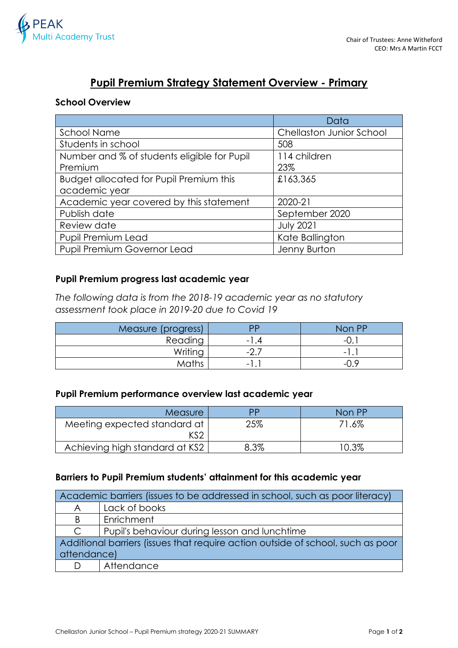

# **Pupil Premium Strategy Statement Overview - Primary**

### **School Overview**

|                                                | Data                            |
|------------------------------------------------|---------------------------------|
| <b>School Name</b>                             | <b>Chellaston Junior School</b> |
| Students in school                             | 508                             |
| Number and % of students eligible for Pupil    | 114 children                    |
| Premium                                        | 23%                             |
| <b>Budget allocated for Pupil Premium this</b> | £163,365                        |
| academic year                                  |                                 |
| Academic year covered by this statement        | 2020-21                         |
| Publish date                                   | September 2020                  |
| Review date                                    | <b>July 2021</b>                |
| Pupil Premium Lead                             | Kate Ballington                 |
| Pupil Premium Governor Lead                    | Jenny Burton                    |

#### **Pupil Premium progress last academic year**

*The following data is from the 2018-19 academic year as no statutory assessment took place in 2019-20 due to Covid 19*

| Measure (progress) | DD                       | Non PP                   |
|--------------------|--------------------------|--------------------------|
| Reading            | $-1.4$                   | $\overline{\phantom{0}}$ |
| Writing            | −∠.,                     | $\overline{\phantom{0}}$ |
| Maths              | $\overline{\phantom{0}}$ | -1                       |

### **Pupil Premium performance overview last academic year**

| <b>Measure</b>                 | РP   | Non PP |
|--------------------------------|------|--------|
| Meeting expected standard at   | 25%  | 71.6%  |
| KS2                            |      |        |
| Achieving high standard at KS2 | 8.3% | 10.3%  |

## **Barriers to Pupil Premium students' attainment for this academic year**

| Academic barriers (issues to be addressed in school, such as poor literacy)     |                                               |  |
|---------------------------------------------------------------------------------|-----------------------------------------------|--|
| A                                                                               | Lack of books                                 |  |
| B                                                                               | Enrichment                                    |  |
| $\mathsf{C}$                                                                    | Pupil's behaviour during lesson and lunchtime |  |
| Additional barriers (issues that require action outside of school, such as poor |                                               |  |
| attendance)                                                                     |                                               |  |
|                                                                                 | Attendance                                    |  |